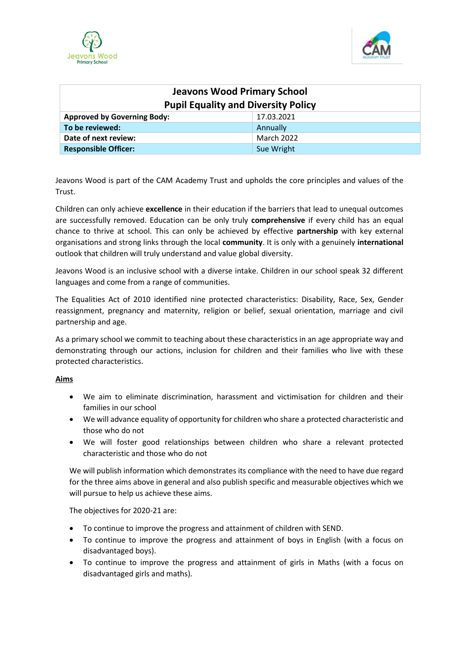



| <b>Jeavons Wood Primary School</b>         |                   |
|--------------------------------------------|-------------------|
| <b>Pupil Equality and Diversity Policy</b> |                   |
| <b>Approved by Governing Body:</b>         | 17.03.2021        |
| To be reviewed:                            | Annually          |
| Date of next review:                       | <b>March 2022</b> |
| <b>Responsible Officer:</b>                | Sue Wright        |

Jeavons Wood is part of the CAM Academy Trust and upholds the core principles and values of the Trust.

Children can only achieve **excellence** in their education if the barriers that lead to unequal outcomes are successfully removed. Education can be only truly **comprehensive** if every child has an equal chance to thrive at school. This can only be achieved by effective **partnership** with key external organisations and strong links through the local **community**. It is only with a genuinely **international**  outlook that children will truly understand and value global diversity.

Jeavons Wood is an inclusive school with a diverse intake. Children in our school speak 32 different languages and come from a range of communities.

The Equalities Act of 2010 identified nine protected characteristics: Disability, Race, Sex, Gender reassignment, pregnancy and maternity, religion or belief, sexual orientation, marriage and civil partnership and age.

As a primary school we commit to teaching about these characteristics in an age appropriate way and demonstrating through our actions, inclusion for children and their families who live with these protected characteristics.

### **Aims**

- We aim to eliminate discrimination, harassment and victimisation for children and their families in our school
- We will advance equality of opportunity for children who share a protected characteristic and those who do not
- We will foster good relationships between children who share a relevant protected characteristic and those who do not

We will publish information which demonstrates its compliance with the need to have due regard for the three aims above in general and also publish specific and measurable objectives which we will pursue to help us achieve these aims.

The objectives for 2020-21 are:

- To continue to improve the progress and attainment of children with SEND.
- To continue to improve the progress and attainment of boys in English (with a focus on disadvantaged boys).
- To continue to improve the progress and attainment of girls in Maths (with a focus on disadvantaged girls and maths).